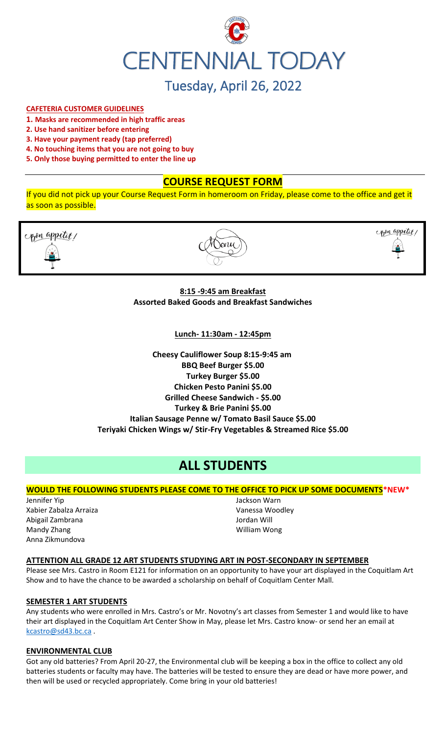

# **CAFETERIA CUSTOMER GUIDELINES**

- **1. Masks are recommended in high traffic areas**
- **2. Use hand sanitizer before entering**
- **3. Have your payment ready (tap preferred)**
- **4. No touching items that you are not going to buy**
- **5. Only those buying permitted to enter the line up**

# **COURSE REQUEST FORM**

copen appetit,

If you did not pick up your Course Request Form in homeroom on Friday, please come to the office and get it as soon as possible.



**8:15 -9:45 am Breakfast Assorted Baked Goods and Breakfast Sandwiches**

**Lunch- 11:30am - 12:45pm**

**Cheesy Cauliflower Soup 8:15-9:45 am BBQ Beef Burger \$5.00 Turkey Burger \$5.00 Chicken Pesto Panini \$5.00 Grilled Cheese Sandwich - \$5.00 Turkey & Brie Panini \$5.00 Italian Sausage Penne w/ Tomato Basil Sauce \$5.00 Teriyaki Chicken Wings w/ Stir-Fry Vegetables & Streamed Rice \$5.00**

# **ALL STUDENTS**

# **WOULD THE FOLLOWING STUDENTS PLEASE COME TO THE OFFICE TO PICK UP SOME DOCUMENTS\*NEW\***

Jennifer Yip Xabier Zabalza Arraiza Abigail Zambrana Mandy Zhang Anna Zikmundova

Jackson Warn Vanessa Woodley Jordan Will William Wong

#### **ATTENTION ALL GRADE 12 ART STUDENTS STUDYING ART IN POST-SECONDARY IN SEPTEMBER**

Please see Mrs. Castro in Room E121 for information on an opportunity to have your art displayed in the Coquitlam Art Show and to have the chance to be awarded a scholarship on behalf of Coquitlam Center Mall.

#### **SEMESTER 1 ART STUDENTS**

Any students who were enrolled in Mrs. Castro's or Mr. Novotny's art classes from Semester 1 and would like to have their art displayed in the Coquitlam Art Center Show in May, please let Mrs. Castro know- or send her an email at [kcastro@sd43.bc.ca](mailto:kcastro@sd43.bc.ca) .

#### **ENVIRONMENTAL CLUB**

Got any old batteries? From April 20-27, the Environmental club will be keeping a box in the office to collect any old batteries students or faculty may have. The batteries will be tested to ensure they are dead or have more power, and then will be used or recycled appropriately. Come bring in your old batteries!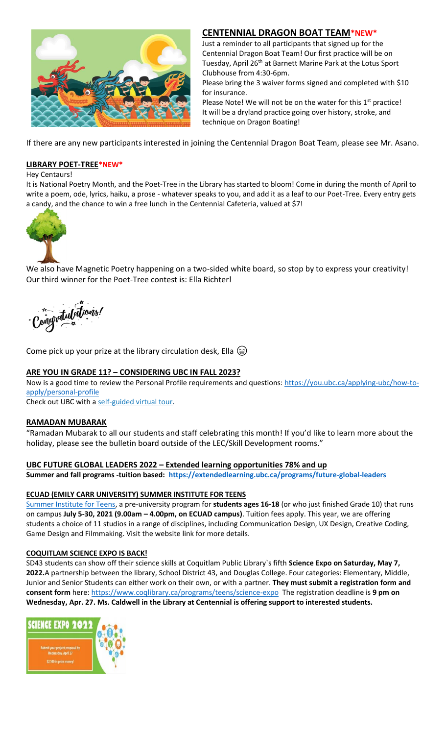

# **CENTENNIAL DRAGON BOAT TEAM\*NEW\***

Just a reminder to all participants that signed up for the Centennial Dragon Boat Team! Our first practice will be on Tuesday, April 26<sup>th</sup> at Barnett Marine Park at the Lotus Sport Clubhouse from 4:30-6pm.

Please bring the 3 waiver forms signed and completed with \$10 for insurance.

Please Note! We will not be on the water for this  $1<sup>st</sup>$  practice! It will be a dryland practice going over history, stroke, and technique on Dragon Boating!

If there are any new participants interested in joining the Centennial Dragon Boat Team, please see Mr. Asano.

# **LIBRARY POET-TREE\*NEW\***

Hey Centaurs!

It is National Poetry Month, and the Poet-Tree in the Library has started to bloom! Come in during the month of April to write a poem, ode, lyrics, haiku, a prose - whatever speaks to you, and add it as a leaf to our Poet-Tree. Every entry gets a candy, and the chance to win a free lunch in the Centennial Cafeteria, valued at \$7!



We also have Magnetic Poetry happening on a two-sided white board, so stop by to express your creativity! Our third winner for the Poet-Tree contest is: Ella Richter!

singvatulations!

Come pick up your prize at the library circulation desk, Ella  $\circledast$ 

# **ARE YOU IN GRADE 11? – CONSIDERING UBC IN FALL 2023?**

Now is a good time to review the Personal Profile requirements and questions: [https://you.ubc.ca/applying-ubc/how-to](https://you.ubc.ca/applying-ubc/how-to-apply/personal-profile)[apply/personal-profile](https://you.ubc.ca/applying-ubc/how-to-apply/personal-profile)

Check out UBC with a self-guided [virtual tour.](https://you.ubc.ca/tours-info-sessions/virtual-tour/)

# **RAMADAN MUBARAK**

"Ramadan Mubarak to all our students and staff celebrating this month! If you'd like to learn more about the holiday, please see the bulletin board outside of the LEC/Skill Development rooms."

# **UBC FUTURE GLOBAL LEADERS 2022 – Extended learning opportunities 78% and up**

**Summer and fall programs -tuition based: <https://extendedlearning.ubc.ca/programs/future-global-leaders>**

# **ECUAD (EMILY CARR UNIVERSITY) SUMMER INSTITUTE FOR TEENS**

[Summer Institute for Teens,](https://www.ecuad.ca/academics/teen-programs/summer-institute-for-teens) a pre-university program for **students ages 16-18** (or who just finished Grade 10) that runs on campus **July 5-30, 2021 (9.00am – 4.00pm, on ECUAD campus)**. Tuition fees apply. This year, we are offering students a choice of 11 studios in a range of disciplines, including Communication Design, UX Design, Creative Coding, Game Design and Filmmaking. Visit the website link for more details.

# **COQUITLAM SCIENCE EXPO IS BACK!**

SD43 students can show off their science skills at Coquitlam Public Library`s fifth **Science Expo on Saturday, May 7, 2022.**A partnership between the library, School District 43, and Douglas College. Four categories: Elementary, Middle, Junior and Senior Students can either work on their own, or with a partner. **They must submit a registration form and consent form** here:<https://www.coqlibrary.ca/programs/teens/science-expo> The registration deadline is **9 pm on Wednesday, Apr. 27. Ms. Caldwell in the Library at Centennial is offering support to interested students.**

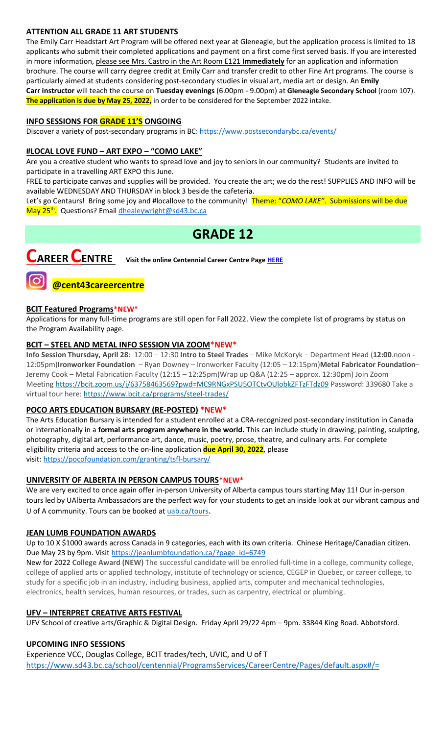# **ATTENTION ALL GRADE 11 ART STUDENTS**

The Emily Carr Headstart Art Program will be offered next year at Gleneagle, but the application process is limited to 18 applicants who submit their completed applications and payment on a first come first served basis. If you are interested in more information, please see Mrs. Castro in the Art Room E121 **Immediately** for an application and information brochure. The course will carry degree credit at Emily Carr and transfer credit to other Fine Art programs. The course is particularly aimed at students considering post-secondary studies in visual art, media art or design. An **Emily Carr instructor** will teach the course on **Tuesday evenings** (6.00pm - 9.00pm) at **Gleneagle Secondary School** (room 107). **The application is due by May 25, 2022,** in order to be considered for the September 2022 intake.

# **INFO SESSIONS FOR GRADE 11'S ONGOING**

Discover a variety of post-secondary programs in BC:<https://www.postsecondarybc.ca/events/>

#### **#LOCAL LOVE FUND – ART EXPO – "COMO LAKE"**

Are you a creative student who wants to spread love and joy to seniors in our community? Students are invited to participate in a travelling ART EXPO this June.

FREE to participate canvas and supplies will be provided. You create the art; we do the rest! SUPPLIES AND INFO will be available WEDNESDAY AND THURSDAY in block 3 beside the cafeteria.

Let's go Centaurs! Bring some joy and #locallove to the community! Theme: "*COMO LAKE"*. Submissions will be due May 25<sup>th</sup>. Questions? Email <u>dhealeywright@sd43.bc.ca</u>

# **GRADE 12**



**CAREER CENTRE Visit the online Centennial Career Centre Page [HERE](https://www.sd43.bc.ca/school/centennial/ProgramsServices/CareerCentre/experiences/Pages/default.aspx#/=)**

# **BCIT Featured Programs\*NEW\***

**@cent43careercentre** 

Applications for many full-time programs are still open for Fall 2022. View the complete list of programs by status on the [Program Availability](https://bcit.us8.list-manage.com/track/click?u=daf05330755626307efc8f07f&id=4d4ed36616&e=b29846f095) page.

# **BCIT – STEEL AND METAL INFO SESSION VIA ZOOM\*NEW\***

**Info Session Thursday, April 28**: 12:00 – 12:30 **Intro to Steel Trades** – Mike McKoryk – Department Head (**12:00**.noon - 12:05pm)**Ironworker Foundation** – Ryan Downey – Ironworker Faculty (12:05 – 12:15pm)**Metal Fabricator Foundation**– Jeremy Cook – Metal Fabrication Faculty (12:15 – 12:25pm)Wrap up Q&A (12:25 – approx. 12:30pm) Join Zoom Meeting <https://bcit.zoom.us/j/63758463569?pwd=MC9RNGxPSU5OTCtvOUlobkZFTzFTdz09> Password: 339680 Take a virtual tour here: <https://www.bcit.ca/programs/steel-trades/>

# **POCO ARTS EDUCATION BURSARY (RE-POSTED) \*NEW\***

The Arts Education Bursary is intended for a student enrolled at a CRA-recognized post-secondary institution in Canada or internationally in a **formal arts program anywhere in the world.** This can include study in drawing, painting, sculpting, photography, digital art, performance art, dance, music, poetry, prose, theatre, and culinary arts. For complete eligibility criteria and access to the on-line application **due April 30, 2022**, please visit: <https://pocofoundation.com/granting/tsfl-bursary/>

# **UNIVERSITY OF ALBERTA IN PERSON CAMPUS TOURS\*NEW\***

We are very excited to once again offer in-person University of Alberta campus tours starting May 11! Our in-person tours led by UAlberta Ambassadors are the perfect way for your students to get an inside look at our vibrant campus and U of A community. Tours can be booked at [uab.ca/tours](https://mx.technolutions.net/ss/c/gsby7xed_Q9kJKoUKuDGdBFBFhSssENYnEfiUuIzPCfFN0X3A85kPAIgyq7RiYgwd5ks3dapUcNxO2ND8vSVBYrkONj16vS1goC-KNmxqyzPGiP84ZPhBolxXehOVvJJoIydTyO79MzKzKWEvLKFkm_yV9EI63wdit-4TgQQwdxB7q-F7wKO6B1l7qPTTQqEY4-sfMYxk0jPxb8_vnjcU8J1KalNzAYWqvZsue4RhUs/3li/fiXawEMdS5CpVDRHZJ_kGA/h1/NOtRtynrGGfbhYYaY88O-aXOwt_ymLOenqdLtTeBrnQ).

# **JEAN LUMB FOUNDATION AWARDS**

Up to 10 X \$1000 awards across Canada in 9 categories, each with its own criteria. Chinese Heritage/Canadian citizen. Due May 23 by 9pm. Visi[t https://jeanlumbfoundation.ca/?page\\_id=6749](https://jeanlumbfoundation.ca/?page_id=6749)

New for 2022 **College Award (NEW)** The successful candidate will be enrolled full-time in a college, community college, college of applied arts or applied technology, institute of technology or science, CEGEP in Quebec, or career college, to study for a specific job in an industry, including business, applied arts, computer and mechanical technologies, electronics, health services, human resources, or trades, such as carpentry, electrical or plumbing.

# **UFV – INTERPRET CREATIVE ARTS FESTIVAL**

UFV School of creative arts/Graphic & Digital Design. Friday April 29/22 4pm – 9pm. 33844 King Road. Abbotsford.

# **UPCOMING INFO SESSIONS**

Experience VCC, Douglas College, BCIT trades/tech, UVIC, and U of T <https://www.sd43.bc.ca/school/centennial/ProgramsServices/CareerCentre/Pages/default.aspx#/=>